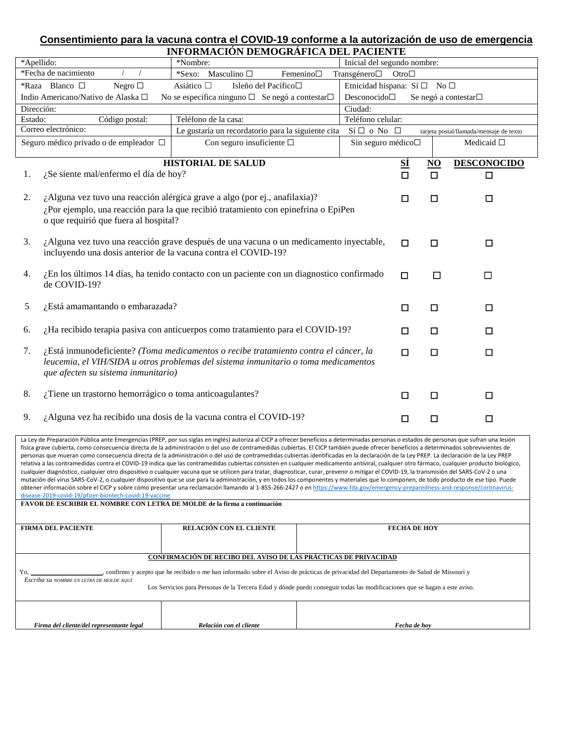## **Consentimiento para la vacuna contra el COVID-19 conforme a la autorización de uso de emergencia INFORMACIÓN DEMOGRÁFICA DEL PACIENTE**

|                                                                                                                                             | INFONMACION DEMOGNAFICA DEL FACIENTE                                                   |                             |           |                |                                         |
|---------------------------------------------------------------------------------------------------------------------------------------------|----------------------------------------------------------------------------------------|-----------------------------|-----------|----------------|-----------------------------------------|
| *Apellido:                                                                                                                                  | *Nombre:                                                                               | Inicial del segundo nombre: |           |                |                                         |
| *Fecha de nacimiento<br>*Sexo: Masculino $\square$<br>Femenino $\square$<br>Transgénero□<br>Otro $\square$                                  |                                                                                        |                             |           |                |                                         |
| *Raza Blanco $\square$<br>Asiático □<br>Isleño del Pacífico <sup>□</sup><br>Etnicidad hispana: Sí $\square$ No $\square$<br>Negro $\square$ |                                                                                        |                             |           |                |                                         |
| Indio Americano/Nativo de Alaska □                                                                                                          | No se especifica ninguno $\Box$ Se negó a contestar $\Box$                             | Desconocido□                |           |                | Se negó a contestar□                    |
| Dirección:                                                                                                                                  | Ciudad:                                                                                |                             |           |                |                                         |
| Código postal:<br>Estado:                                                                                                                   | Teléfono de la casa:                                                                   | Teléfono celular:           |           |                |                                         |
| Correo electrónico:                                                                                                                         | Le gustaría un recordatorio para la siguiente cita                                     | $Si \Box o No \Box$         |           |                | tarjeta postal/llamada/mensaje de texto |
| Seguro médico privado o de empleador □                                                                                                      | Con seguro insuficiente $\square$                                                      | Sin seguro médico□          |           |                | Medicaid $\square$                      |
|                                                                                                                                             | <b>HISTORIAL DE SALUD</b>                                                              |                             | <u>sí</u> | N <sub>O</sub> | <b>DESCONOCIDO</b>                      |
| ¿Se siente mal/enfermo el día de hoy?<br>1.                                                                                                 |                                                                                        |                             | $\Box$    | $\Box$         | $\Box$                                  |
|                                                                                                                                             |                                                                                        |                             |           |                |                                         |
| 2.                                                                                                                                          | ¿Alguna vez tuvo una reacción alérgica grave a algo (por ej., anafilaxia)?             |                             | $\Box$    | $\Box$         | $\Box$                                  |
|                                                                                                                                             | ¿Por ejemplo, una reacción para la que recibió tratamiento con epinefrina o EpiPen     |                             |           |                |                                         |
| o que requirió que fuera al hospital?                                                                                                       |                                                                                        |                             |           |                |                                         |
|                                                                                                                                             |                                                                                        |                             |           |                |                                         |
| 3.                                                                                                                                          | ¿Alguna vez tuvo una reacción grave después de una vacuna o un medicamento inyectable, |                             | П         | □              | $\Box$                                  |
| incluyendo una dosis anterior de la vacuna contra el COVID-19?                                                                              |                                                                                        |                             |           |                |                                         |
|                                                                                                                                             |                                                                                        |                             |           |                |                                         |
| ¿En los últimos 14 días, ha tenido contacto con un paciente con un diagnostico confirmado<br>4.                                             |                                                                                        |                             | □         | □              | П                                       |
| de COVID-19?                                                                                                                                |                                                                                        |                             |           |                |                                         |
| ¿Está amamantando o embarazada?<br>5                                                                                                        |                                                                                        |                             |           |                |                                         |
|                                                                                                                                             |                                                                                        |                             | □         | $\Box$         | □                                       |
| 6.                                                                                                                                          | ¿Ha recibido terapia pasiva con anticuerpos como tratamiento para el COVID-19?         |                             |           |                |                                         |
|                                                                                                                                             |                                                                                        |                             | $\Box$    | □              | $\Box$                                  |
| 7.                                                                                                                                          | ¿Está inmunodeficiente? (Toma medicamentos o recibe tratamiento contra el cáncer, la   |                             | $\Box$    | $\Box$         | $\Box$                                  |
|                                                                                                                                             | leucemia, el VIH/SIDA u otros problemas del sistema inmunitario o toma medicamentos    |                             |           |                |                                         |
| que afecten su sistema inmunitario)                                                                                                         |                                                                                        |                             |           |                |                                         |
|                                                                                                                                             |                                                                                        |                             |           |                |                                         |
| ¿Tiene un trastorno hemorrágico o toma anticoagulantes?<br>8.                                                                               |                                                                                        |                             | $\Box$    | □              | $\Box$                                  |
|                                                                                                                                             |                                                                                        |                             |           |                |                                         |
| 9.                                                                                                                                          | ¿Alguna vez ha recibido una dosis de la vacuna contra el COVID-19?                     |                             | $\Box$    | $\Box$         | $\Box$                                  |
|                                                                                                                                             |                                                                                        |                             |           |                |                                         |
| concentration in Alastera concentration                                                                                                     |                                                                                        |                             |           |                |                                         |

La Ley de Preparación Pública ante Emergencias (PREP, por sus siglas en inglés) autoriza al CICP a ofrecer beneficios a determinadas personas o estados de personas que sufran una lesión física grave cubierta, como consecuencia directa de la administración o del uso de contramedidas cubiertas. El CICP también puede ofrecer beneficios a determinados sobrevivientes de personas que mueran como consecuencia directa de la administración o del uso de contramedidas cubiertas identificadas en la declaración de la Ley PREP. La declaración de la Ley PREP relativa a las contramedidas contra el COVID-19 indica que las contramedidas cubiertas consisten en cualquier medicamento antiviral, cualquier otro fármaco, cualquier producto biológico, cualquier diagnóstico, cualquier otro dispositivo o cualquier vacuna que se utilicen para tratar, diagnosticar, curar, prevenir o mitigar el COVID-19, la transmisión del SARS-CoV-2 o una mutación del virus SARS-CoV-2, o cualquier dispositivo que se use para la administración, y en todos los componentes y materiales que lo componen, de todo producto de ese tipo. Puede obtener información sobre el CICP y sobre cómo presentar una reclamación llamando al 1-855-266-2427 o e[n https://www.fda.gov/emergency-preparedness-and-response/coronavirus](https://www.fda.gov/emergency-preparedness-and-response/coronavirus-disease-2019-covid-19/pfizer-biontech-covid-19-vaccine)[disease-2019-covid-19/pfizer-biontech-covid-19-vaccine](https://www.fda.gov/emergency-preparedness-and-response/coronavirus-disease-2019-covid-19/pfizer-biontech-covid-19-vaccine) **FAVOR DE ESCRIBIR EL NOMBRE CON LETRA DE MOLDE de la firma a continuación FIRMA DEL PACIENTE RELACIÓN CON EL CLIENTE FECHA DE HOY CONFIRMACIÓN DE RECIBO DEL AVISO DE LAS PRÁCTICAS DE PRIVACIDAD**

| Yο      | ecibido o me han informado sobre el Aviso de prácticas de privacidad del Departamento de S<br>acento que<br>e he rec<br>Samo<br>ırmc<br>-210 |  |
|---------|----------------------------------------------------------------------------------------------------------------------------------------------|--|
| Escribo | ' EN LETRA                                                                                                                                   |  |

 $\mathbf{I}$ 

Los Servicios para Personas de la Tercera Edad y dónde puedo conseguir todas las modificaciones que se hagan a este aviso.

 $\mathbf{I}$ 

| $\sim$<br>' cliente/del representante legal<br>' irm<br>mo | $\sqrt{2}$<br>! cliente<br>eolación :<br>$\overline{\mathbf{a}}$ | echa de hov |
|------------------------------------------------------------|------------------------------------------------------------------|-------------|